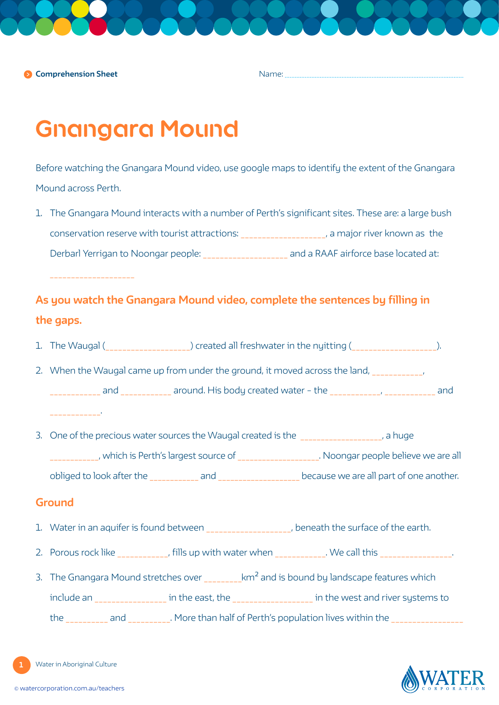**Comprehension Sheet**

Name:

# **Gnangara Mound**

Before watching the Gnangara Mound video, use google maps to identify the extent of the Gnangara Mound across Perth.

1. The Gnangara Mound interacts with a number of Perth's significant sites. These are: a large bush conservation reserve with tourist attractions: \_\_\_\_\_\_\_\_\_\_\_\_\_\_\_\_\_\_\_\_, a major river known as the Derbarl Yerrigan to Noongar people: \_\_\_\_\_\_\_\_\_\_\_\_\_\_\_\_\_\_\_\_\_\_\_\_ and a RAAF airforce base located at:

## **As you watch the Gnangara Mound video, complete the sentences by filling in the gaps.**

- 1. The Waugal (\_\_\_\_\_\_\_\_\_\_\_\_\_\_\_\_\_\_\_) created all freshwater in the nyitting (\_\_\_\_\_\_\_\_\_\_\_\_\_\_\_\_\_\_\_\_).
- 2. When the Waugal came up from under the ground, it moved across the land, and around. His body created water – the water  $\overline{\phantom{a}}$ , and \_\_\_\_\_\_\_\_\_\_\_\_.
- 3. One of the precious water sources the Waugal created is the \_\_\_\_\_\_\_\_\_\_\_\_\_\_\_\_\_, a huge \_\_\_\_\_\_\_\_\_\_\_\_, which is Perth's largest source of \_\_\_\_\_\_\_\_\_\_\_\_\_\_\_\_\_\_\_\_. Noongar people believe we are all obliged to look after the \_\_\_\_\_\_\_\_\_\_\_\_ and \_\_\_\_\_\_\_\_\_\_\_\_\_\_\_\_\_\_\_\_ because we are all part of one another.

## **Ground**

- 1. Water in an aquifer is found between \_\_\_\_\_\_\_\_\_\_\_\_\_\_\_\_\_, beneath the surface of the earth.
- 2. Porous rock like extending this up with water when the same whole when  $\sim$  .
- 3. The Gnangara Mound stretches over  $\mu$  km<sup>2</sup> and is bound by landscape features which include an \_\_\_\_\_\_\_\_\_\_\_\_\_\_\_\_\_ in the east, the \_\_\_\_\_\_\_\_\_\_\_\_\_\_\_\_\_\_\_ in the west and river systems to the and and and an extending and and  $\alpha$ . More than half of Perth's population lives within the

Water in Aboriginal Culture

**1**

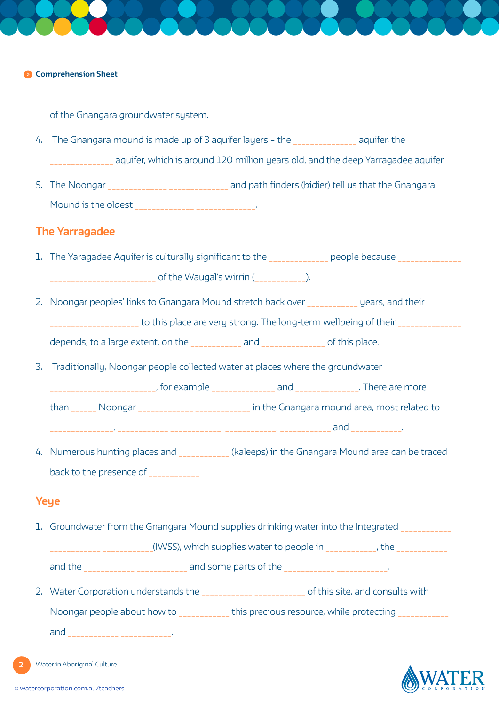### **Comprehension Sheet**

of the Gnangara groundwater sustem.

- 4. The Gnangara mound is made up of 3 aquifer layers the aquifer, the \_\_\_\_\_\_\_\_\_\_\_\_\_\_\_ aquifer, which is around 120 million years old, and the deep Yarragadee aquifer.
- 5. The Noongar \_\_\_\_\_\_\_\_\_\_\_\_\_\_\_\_\_\_\_\_\_\_\_\_\_\_\_ and path finders (bidier) tell us that the Gnangara Mound is the oldest \_\_\_\_\_\_\_\_\_\_\_\_\_\_ \_\_\_\_\_\_\_\_\_\_\_\_\_\_.

## **The Yarragadee**

- 1. The Yaragadee Aquifer is culturally significant to the \_\_\_\_\_\_\_\_\_\_\_\_\_ people because \_\_\_\_\_\_\_\_\_\_\_\_\_ \_\_\_\_\_\_\_\_\_\_\_\_\_\_\_\_\_\_\_\_\_\_\_\_\_ of the Waugal's wirrin (\_\_\_\_\_\_\_\_\_\_\_\_).
- 2. Noongar peoples' links to Gnangara Mound stretch back over years, and their \_\_\_\_\_\_\_\_\_\_\_\_\_\_\_\_\_\_\_\_\_\_\_\_\_to this place are very strong. The long-term wellbeing of their \_\_\_\_\_\_\_\_\_\_\_\_\_\_\_\_ depends, to a large extent, on the \_\_\_\_\_\_\_\_\_\_\_\_ and \_\_\_\_\_\_\_\_\_\_\_\_\_\_\_ of this place.
- 3. Traditionally, Noongar people collected water at places where the groundwater
	- \_\_\_\_\_\_\_\_\_\_\_\_\_\_\_\_\_\_\_\_\_\_\_\_, for example \_\_\_\_\_\_\_\_\_\_\_\_\_\_\_\_ and \_\_\_\_\_\_\_\_\_\_\_\_\_\_\_\_. There are more
	- than Moongar **Number 1 Noongar 2018** in the Gnangara mound area, most related to

\_\_\_\_\_\_\_\_\_\_\_\_\_\_\_, \_\_\_\_\_\_\_\_\_\_\_\_ \_\_\_\_\_\_\_\_\_\_\_\_, \_\_\_\_\_\_\_\_\_\_\_\_, \_\_\_\_\_\_\_\_\_\_\_\_ and \_\_\_\_\_\_\_\_\_\_\_\_.

4. Numerous hunting places and **Example 2018** (kaleeps) in the Gnangara Mound area can be traced back to the presence of \_\_\_\_\_\_\_\_\_\_\_\_

## **Yeye**

1. Groundwater from the Gnangara Mound supplies drinking water into the Integrated

(IWSS), which supplies water to people in  $\hspace{1.5cm}$ , the

and the \_\_\_\_\_\_\_\_\_\_\_\_ \_\_\_\_\_\_\_\_\_\_\_\_ and some parts of the \_\_\_\_\_\_\_\_\_\_\_\_ \_\_\_\_\_\_\_\_\_\_\_\_.

2. Water Corporation understands the \_\_\_\_\_\_\_\_\_\_\_\_\_\_\_\_\_\_\_\_\_\_\_\_\_\_ of this site, and consults with Noongar people about how to \_\_\_\_\_\_\_\_\_\_\_\_ this precious resource, while protecting \_\_\_\_\_\_\_\_\_\_\_\_

and \_\_\_\_\_\_\_\_\_\_\_\_\_ \_\_\_\_\_\_\_\_\_\_\_\_\_.

Water in Aboriginal Culture

**2**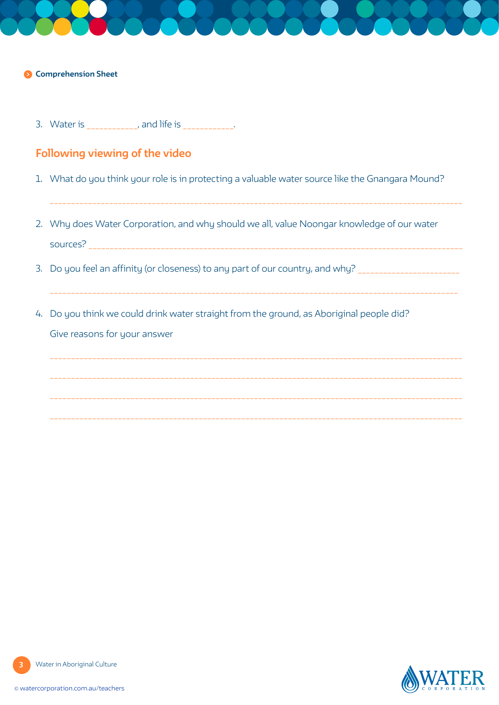## **Comprehension Sheet**

3. Water is \_\_\_\_\_\_\_\_\_\_\_, and life is \_\_\_\_\_\_\_\_\_\_\_.

## **Following viewing of the video**

1. What do you think your role is in protecting a valuable water source like the Gnangara Mound?

\_\_\_\_\_\_\_\_\_\_\_\_\_\_\_\_\_\_\_\_\_\_\_\_\_\_\_\_\_\_\_\_\_\_\_\_\_\_\_\_\_\_\_\_\_\_\_\_\_\_\_\_\_\_\_\_\_\_\_\_\_\_\_\_\_\_\_\_\_\_\_\_\_\_\_\_\_\_\_\_\_\_\_\_\_\_\_\_\_\_\_\_\_\_\_\_\_

- 2. Why does Water Corporation, and why should we all, value Noongar knowledge of our water sources? \_\_\_\_\_\_\_\_\_\_\_\_\_\_\_\_\_\_\_\_\_\_\_\_\_\_\_\_\_\_\_\_\_\_\_\_\_\_\_\_\_\_\_\_\_\_\_\_\_\_\_\_\_\_\_\_\_\_\_\_\_\_\_\_\_\_\_\_\_\_\_\_\_\_\_\_\_\_\_\_\_\_\_\_\_\_\_\_
- 3. Do you feel an affinity (or closeness) to any part of our country, and why? \_\_\_\_\_\_\_\_\_\_\_\_\_\_\_\_\_\_\_\_\_\_\_\_\_\_\_\_\_\_\_

 $\mathcal{L}_\mathcal{L} = \mathcal{L}_\mathcal{L} = \mathcal{L}_\mathcal{L} = \mathcal{L}_\mathcal{L} = \mathcal{L}_\mathcal{L} = \mathcal{L}_\mathcal{L} = \mathcal{L}_\mathcal{L} = \mathcal{L}_\mathcal{L} = \mathcal{L}_\mathcal{L} = \mathcal{L}_\mathcal{L} = \mathcal{L}_\mathcal{L} = \mathcal{L}_\mathcal{L} = \mathcal{L}_\mathcal{L} = \mathcal{L}_\mathcal{L} = \mathcal{L}_\mathcal{L} = \mathcal{L}_\mathcal{L} = \mathcal{L}_\mathcal{L}$ 

4. Do you think we could drink water straight from the ground, as Aboriginal people did? Give reasons for your answer

**3**